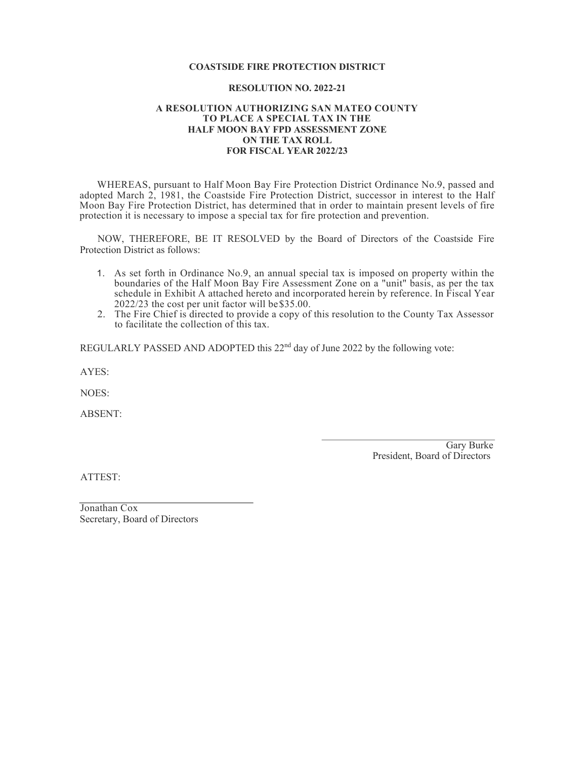#### **COASTSIDE FIRE PROTECTION DISTRICT**

#### **RESOLUTION NO. 2022-21**

#### **A RESOLUTION AUTHORIZING SAN MATEO COUNTY TO PLACE A SPECIAL TAX IN THE HALF MOON BAY FPD ASSESSMENT ZONE ON THE TAX ROLL FOR FISCAL YEAR 2022/23**

WHEREAS, pursuant to Half Moon Bay Fire Protection District Ordinance No.9, passed and adopted March 2, 1981, the Coastside Fire Protection District, successor in interest to the Half Moon Bay Fire Protection District, has determined that in order to maintain present levels of fire protection it is necessary to impose a special tax for fire protection and prevention.

NOW, THEREFORE, BE IT RESOLVED by the Board of Directors of the Coastside Fire Protection District as follows:

- 1. As set forth in Ordinance No.9, an annual special tax is imposed on property within the boundaries of the Half Moon Bay Fire Assessment Zone on a "unit" basis, as per the tax schedule in Exhibit A attached hereto and incorporated herein by reference. In Fiscal Year 2022/23 the cost per unit factor will be\$35.00.
- 2. The Fire Chief is directed to provide a copy of this resolution to the County Tax Assessor to facilitate the collection of this tax.

REGULARLY PASSED AND ADOPTED this 22<sup>nd</sup> day of June 2022 by the following vote:

AYES:

NOES:

ABSENT:

Gary Burke President, Board of Directors

ATTEST:

Jonathan Cox Secretary, Board of Directors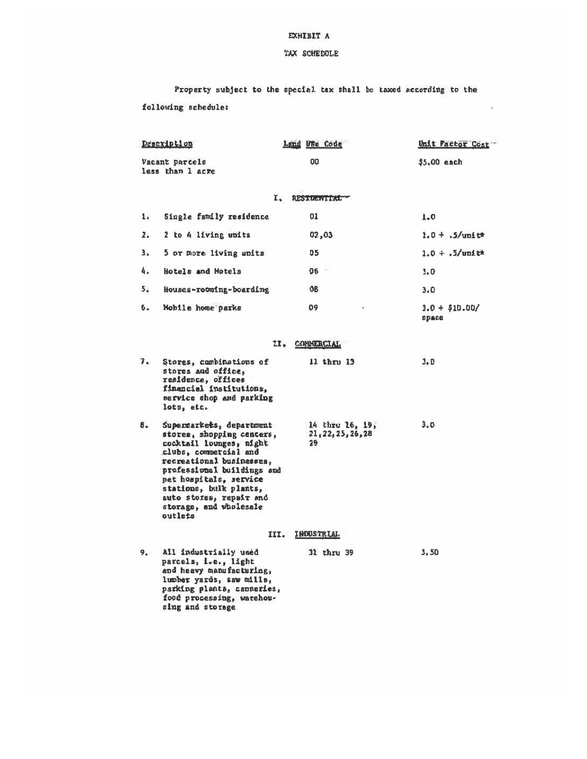### EXHIBIT A

## TAX SCHEDOLE

Property subject to the special tax shall be taxed secording to the following schedule:

 $\overline{a}$ 

| Description                        |                                                                                                                                                                                                                                                                                         | Land Use Code                                | Unit Factor Cost         |  |  |  |  |
|------------------------------------|-----------------------------------------------------------------------------------------------------------------------------------------------------------------------------------------------------------------------------------------------------------------------------------------|----------------------------------------------|--------------------------|--|--|--|--|
| Vacant parcels<br>less than 1 acre |                                                                                                                                                                                                                                                                                         | œ                                            | $$5,00$ each             |  |  |  |  |
| L.<br>RESIDENTIAL                  |                                                                                                                                                                                                                                                                                         |                                              |                          |  |  |  |  |
| $\mathbf{L}$                       | Single family residence                                                                                                                                                                                                                                                                 | 01                                           | 1.0                      |  |  |  |  |
| 2.1                                | 2 to 4 living units                                                                                                                                                                                                                                                                     | 02,03                                        | $1.0 + .5$ /upit*        |  |  |  |  |
| з.                                 | 5 or more living units                                                                                                                                                                                                                                                                  | 05                                           | $1.0 + .5$ /unit*        |  |  |  |  |
| 4.                                 | Hotels and Motels                                                                                                                                                                                                                                                                       | $06 -$                                       | 3.0                      |  |  |  |  |
| 5.                                 | Houses-rooming-boarding                                                                                                                                                                                                                                                                 | 08                                           | 3.0                      |  |  |  |  |
| ъ.                                 | Mobile home parks                                                                                                                                                                                                                                                                       | 89<br>$\hat{\mathbf{r}}$                     | $3.0 + $10.00/$<br>space |  |  |  |  |
|                                    |                                                                                                                                                                                                                                                                                         | II. COMMERCIAL                               |                          |  |  |  |  |
| 7.                                 | Stores, combinations of<br>stores and office.<br>residence, offices<br>financial institutions,<br>service shop and parking<br>lots, etc.                                                                                                                                                | 11 thru 13                                   | 3.D                      |  |  |  |  |
| 8.                                 | Supermarkets, department<br>stores, shopping centers,<br>cocktail lounges, night<br>clubs, compercial and<br>recreational businesses,<br>professional buildings and<br>pet hospitals, service<br>stations, bulk plants,<br>auto stores, repair and<br>storage, and wholesale<br>outlets | 14 thru 16, 19,<br>21, 22, 25, 26, 28<br>29. | 3.0                      |  |  |  |  |
|                                    |                                                                                                                                                                                                                                                                                         | INDUSTRIAL<br>III.                           |                          |  |  |  |  |
| 9.                                 | All industrially used<br>parcels, i.e., light<br>and heavy manufacturing,<br>lumber yards, saw mills,<br>parking plants, canneries,<br>food processing, warehou-<br>sing and storage                                                                                                    | 31 thru 39                                   | 3.50                     |  |  |  |  |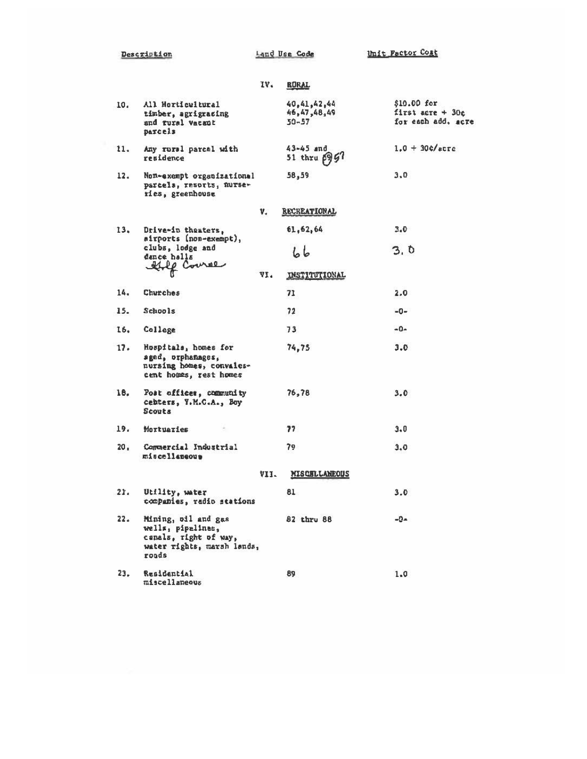Description

Land Use Code Unit Factor Cost

|     |                                                                                                          | IV.  | <b>RURAL</b>                            |                                                          |
|-----|----------------------------------------------------------------------------------------------------------|------|-----------------------------------------|----------------------------------------------------------|
| 10. | All Horticultural<br>timber, agrigracing<br>and fural vacant<br><b>Daxcels</b>                           |      | 40,41,42,44<br>46,47,48,49<br>$50 - 57$ | $$10.00$ for<br>first acre + $30c$<br>for each add, acre |
| 11. | Any rural parcel with<br>residence                                                                       |      | $43 - 45$ and<br>51 thru 6957           | $1.0 + 30$ c/acre                                        |
| 12. | Non-exempt organizational<br>parcels, resorts, murse-<br>ries, greenhouse                                |      | 58,59                                   | 3,0                                                      |
|     |                                                                                                          | V.   | <b>RECREATIONAL</b>                     |                                                          |
| 13. | Drive-in theaters,<br>sirports (non-exempt),<br>clubs, lodge and<br>dance halls<br>the Course            |      | 61,62,64                                | $3.0^{\circ}$                                            |
|     |                                                                                                          |      | しし                                      | 3,0                                                      |
|     |                                                                                                          | VI.  | <b>INSTITUTIONAL</b>                    |                                                          |
| 14. | Churches                                                                                                 |      | 71                                      | 2.0                                                      |
| 15. | Schools                                                                                                  |      | 72                                      | $-0-$                                                    |
| 16. | College                                                                                                  |      | 73                                      | $-0-$                                                    |
| 17. | Hospitals, homes for<br>aged, orphanages,<br>nursing homes, convales-<br>cent homes, rest homes          |      | 74,75                                   | 3.0                                                      |
| 18. | Post offices, community<br>cebters, Y.M.C.A., Boy<br>Scouts                                              |      | 76,78                                   | 3.0                                                      |
| 19. | Mortuaries                                                                                               |      | 77                                      | 3.0                                                      |
| 20. | Commercial Industrial<br>miscellaneous                                                                   |      | 79                                      | 3,0                                                      |
|     |                                                                                                          | VII. | <b>MISCELLANEOUS</b>                    |                                                          |
| 21. | Utility, water<br>companies, radio stations                                                              |      | 81                                      | 3.0                                                      |
| 22. | Mining, oil and gas<br>wells, pipelines,<br>canals, right of way,<br>water rights, marsh lands,<br>roads |      | 82 thru 88                              | $-0-$                                                    |
| 23. | Residential<br>miscellaneous                                                                             |      | 89                                      | 1.0                                                      |